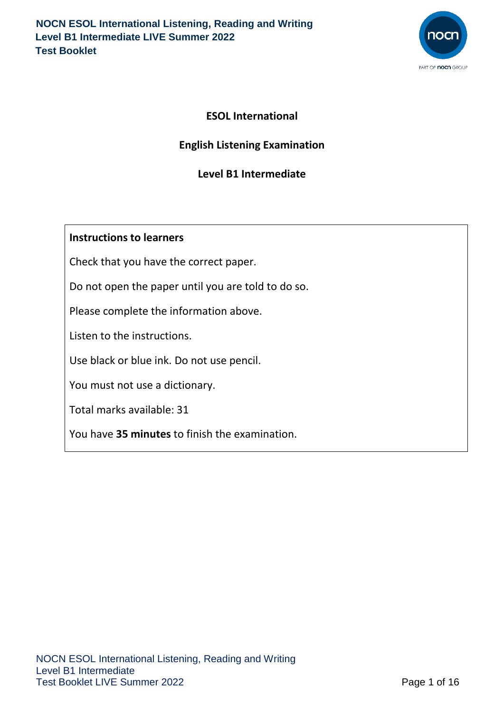

## **ESOL International**

## **English Listening Examination**

## **Level B1 Intermediate**

## **Instructions to learners**

Check that you have the correct paper.

Do not open the paper until you are told to do so.

Please complete the information above.

Listen to the instructions.

Use black or blue ink. Do not use pencil.

You must not use a dictionary.

Total marks available: 31

You have **35 minutes** to finish the examination.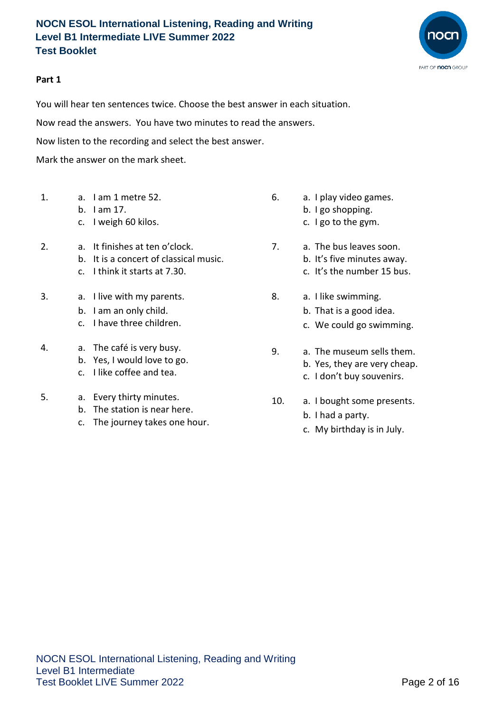

#### **Part 1**

You will hear ten sentences twice. Choose the best answer in each situation.

Now read the answers. You have two minutes to read the answers.

Now listen to the recording and select the best answer.

Mark the answer on the mark sheet.

- 1. a. I am 1 metre 52.
	- b. I am 17.
	- c. I weigh 60 kilos.
- 2. a. It finishes at ten o'clock.
	- b. It is a concert of classical music.
	- c. I think it starts at 7.30.
- 3. a. I live with my parents.
	- b. I am an only child.
	- c. I have three children.
- 4. a. The café is very busy.
	- b. Yes, I would love to go.
	- c. I like coffee and tea.
- 5. a. Every thirty minutes.
	- b. The station is near here.
	- c. The journey takes one hour.
- 6. a. I play video games.
	- b. I go shopping.
	- c. I go to the gym.
- 7. a. The bus leaves soon.
	- b. It's five minutes away.
		- c. It's the number 15 bus.
- 8. a. I like swimming.
	- b. That is a good idea.
	- c. We could go swimming.
- 9. a. The museum sells them. b. Yes, they are very cheap.
	- c. I don't buy souvenirs.
- 10. a. I bought some presents.
	- b. I had a party.
	- c. My birthday is in July.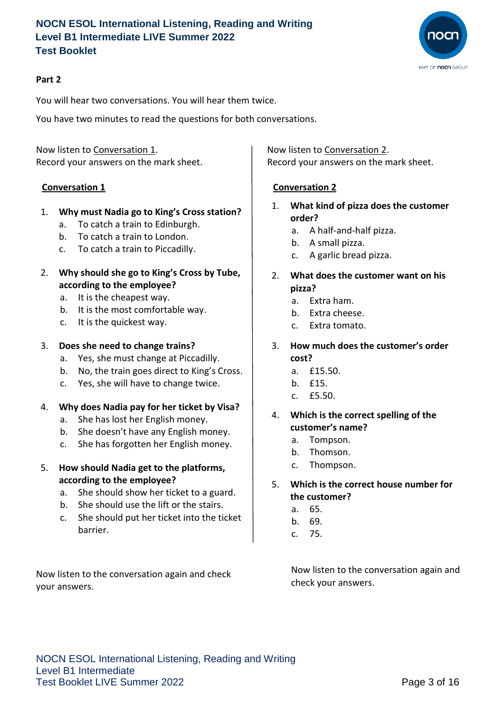

### **Part 2**

You will hear two conversations. You will hear them twice.

You have two minutes to read the questions for both conversations.

Now listen to Conversation 1. Record your answers on the mark sheet.

#### **Conversation 1**

#### 1. **Why must Nadia go to King's Cross station?**

- a. To catch a train to Edinburgh.
- b. To catch a train to London.
- c. To catch a train to Piccadilly.
- 2. **Why should she go to King's Cross by Tube, according to the employee?**
	- a. It is the cheapest way.
	- b. It is the most comfortable way.
	- c. It is the quickest way.

#### 3. **Does she need to change trains?**

- a. Yes, she must change at Piccadilly.
- b. No, the train goes direct to King's Cross.
- c. Yes, she will have to change twice.
- 4. **Why does Nadia pay for her ticket by Visa?**
	- a. She has lost her English money.
	- b. She doesn't have any English money.
	- c. She has forgotten her English money.
- 5. **How should Nadia get to the platforms, according to the employee?**
	- a. She should show her ticket to a guard.
	- b. She should use the lift or the stairs.
	- c. She should put her ticket into the ticket barrier.

Now listen to the conversation again and check your answers.

Now listen to Conversation 2. Record your answers on the mark sheet.

### **Conversation 2**

- 1. **What kind of pizza does the customer order?**
	- a. A half-and-half pizza.
	- b. A small pizza.
	- c. A garlic bread pizza.
- 2. **What does the customer want on his pizza?**
	- a. Extra ham.
	- b. Extra cheese.
	- c. Extra tomato.
- 3. **How much does the customer's order cost?**
	- a. £15.50.
	- b. £15.
	- c. £5.50.

### 4. **Which is the correct spelling of the customer's name?**

- a. Tompson.
- b. Thomson.
- c. Thompson.
- 5. **Which is the correct house number for the customer?**
	- a. 65.
	- b. 69.
	- c. 75.

Now listen to the conversation again and check your answers.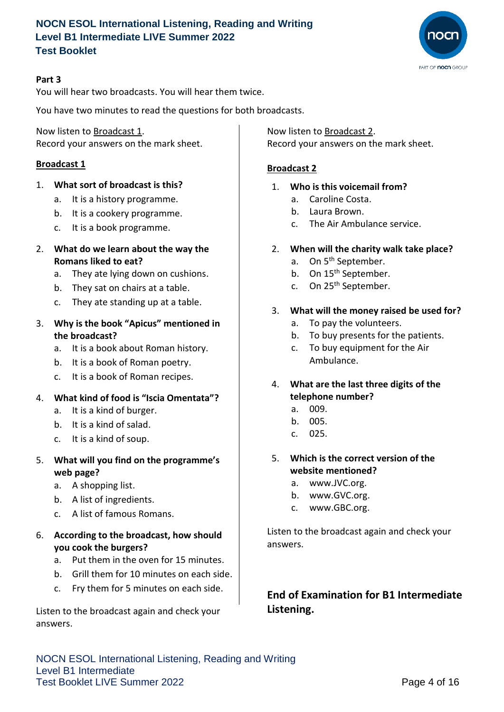### **Part 3**

You will hear two broadcasts. You will hear them twice.

You have two minutes to read the questions for both broadcasts.

Now listen to Broadcast 1. Record your answers on the mark sheet.

#### **Broadcast 1**

- 1. **What sort of broadcast is this?**
	- a. It is a history programme.
	- b. It is a cookery programme.
	- c. It is a book programme.
- 2. **What do we learn about the way the Romans liked to eat?**
	- a. They ate lying down on cushions.
	- b. They sat on chairs at a table.
	- c. They ate standing up at a table.
- 3. **Why is the book "Apicus" mentioned in the broadcast?**
	- a. It is a book about Roman history.
	- b. It is a book of Roman poetry.
	- c. It is a book of Roman recipes.
- 4. **What kind of food is "Iscia Omentata"?**
	- a. It is a kind of burger.
	- b. It is a kind of salad.
	- c. It is a kind of soup.
- 5. **What will you find on the programme's web page?**
	- a. A shopping list.
	- b. A list of ingredients.
	- c. A list of famous Romans.
- 6. **According to the broadcast, how should you cook the burgers?**
	- a. Put them in the oven for 15 minutes.
	- b. Grill them for 10 minutes on each side.
	- c. Fry them for 5 minutes on each side.

Listen to the broadcast again and check your answers.

Now listen to Broadcast 2. Record your answers on the mark sheet.

### **Broadcast 2**

- 1. **Who is this voicemail from?**
	- a. Caroline Costa.
	- b. Laura Brown.
	- c. The Air Ambulance service.
- 2. **When will the charity walk take place?**
	- a. On 5<sup>th</sup> September.
	- b. On 15<sup>th</sup> September.
	- c. On 25<sup>th</sup> September.

### 3. **What will the money raised be used for?**

- a. To pay the volunteers.
- b. To buy presents for the patients.
- c. To buy equipment for the Air Ambulance.
- 4. **What are the last three digits of the telephone number?**
	- a. 009.
	- b. 005.
	- c. 025.
- 5. **Which is the correct version of the website mentioned?**
	- a. www.JVC.org.
	- b. www.GVC.org.
	- c. www.GBC.org.

Listen to the broadcast again and check your answers.

# **End of Examination for B1 Intermediate Listening.**

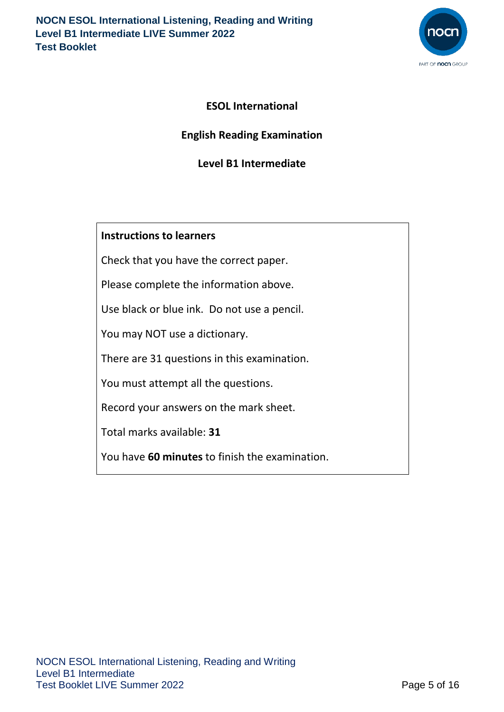

# **ESOL International**

## **English Reading Examination**

## **Level B1 Intermediate**

### **Instructions to learners**

Check that you have the correct paper.

Please complete the information above.

Use black or blue ink. Do not use a pencil.

You may NOT use a dictionary.

There are 31 questions in this examination.

You must attempt all the questions.

Record your answers on the mark sheet.

Total marks available: **31**

You have **60 minutes** to finish the examination.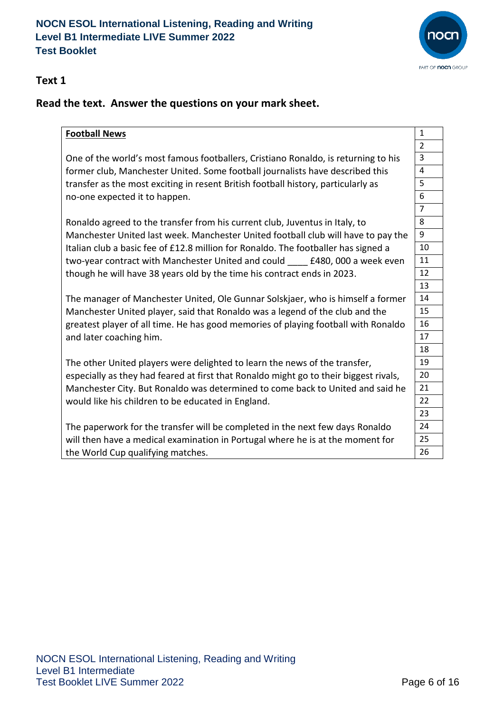

### **Text 1**

## **Read the text. Answer the questions on your mark sheet.**

#### **Football News** 1

One of the world's most famous footballers, Cristiano Ronaldo, is returning to his  $\frac{3}{3}$ former club, Manchester United. Some football journalists have described this 4 transfer as the most exciting in resent British football history, particularly as  $\vert$  5 no-one expected it to happen. **Example 1** 6

Ronaldo agreed to the transfer from his current club, Juventus in Italy, to  $\vert$  8 Manchester United last week. Manchester United football club will have to pay the  $\vert$  9 Italian club a basic fee of £12.8 million for Ronaldo. The footballer has signed a  $10$ two-year contract with Manchester United and could  $\overline{2}$  £480, 000 a week even 11 though he will have 38 years old by the time his contract ends in 2023.  $|12$ 

The manager of Manchester United, Ole Gunnar Solskjaer, who is himself a former  $\parallel$ Manchester United player, said that Ronaldo was a legend of the club and the greatest player of all time. He has good memories of playing football with Ronaldo  $\parallel$ and later coaching him. 17

The other United players were delighted to learn the news of the transfer,  $\vert$ especially as they had feared at first that Ronaldo might go to their biggest rivals,  $\vert$ Manchester City. But Ronaldo was determined to come back to United and said he  $\parallel$ would like his children to be educated in England. 22

The paperwork for the transfer will be completed in the next few days Ronaldo  $\vert$  24 will then have a medical examination in Portugal where he is at the moment for  $\vert$  25 the World Cup qualifying matches. 26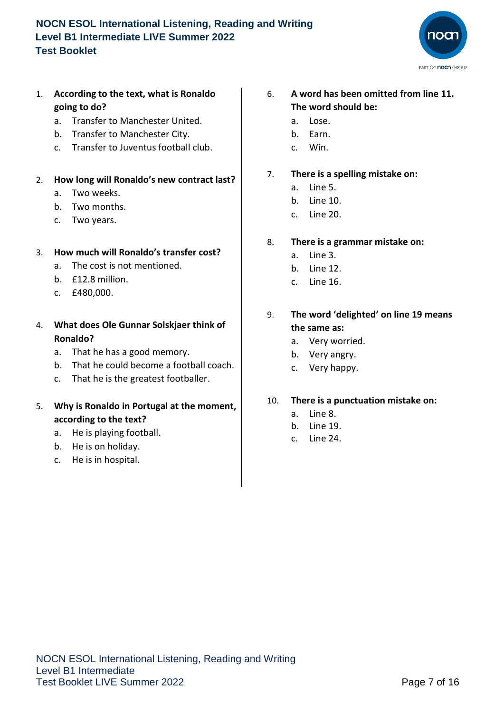

## 1. **According to the text, what is Ronaldo going to do?**

- a. Transfer to Manchester United.
- b. Transfer to Manchester City.
- c. Transfer to Juventus football club.

### 2. **How long will Ronaldo's new contract last?**

- a. Two weeks.
- b. Two months.
- c. Two years.

### 3. **How much will Ronaldo's transfer cost?**

- a. The cost is not mentioned.
- b. £12.8 million.
- c. £480,000.
- 4. **What does Ole Gunnar Solskjaer think of Ronaldo?**
	- a. That he has a good memory.
	- b. That he could become a football coach.
	- c. That he is the greatest footballer.
- 5. **Why is Ronaldo in Portugal at the moment, according to the text?**
	- a. He is playing football.
	- b. He is on holiday.
	- c. He is in hospital.

### 6. **A word has been omitted from line 11. The word should be:**

- a. Lose.
- b. Earn.
- c. Win.
- 7. **There is a spelling mistake on:**
	- a. Line 5.
	- b. Line 10.
	- c. Line 20.

### 8. **There is a grammar mistake on:**

- a. Line 3.
- b. Line 12.
- c. Line 16.

## 9. **The word 'delighted' on line 19 means the same as:**

- a. Very worried.
- b. Very angry.
- c. Very happy.

### 10. **There is a punctuation mistake on:**

- a. Line 8.
- b. Line 19.
- c. Line 24.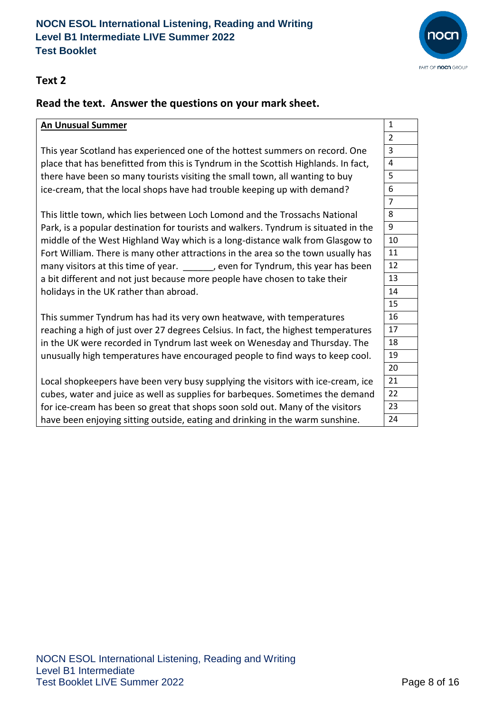

## **Text 2**

# **Read the text. Answer the questions on your mark sheet.**

### **An Unusual Summer**

This year Scotland has experienced one of the hottest summers on record. One 3 place that has benefitted from this is Tyndrum in the Scottish Highlands. In fact, 4 there have been so many tourists visiting the small town, all wanting to buy 5 ice-cream, that the local shops have had trouble keeping up with demand? 6

This little town, which lies between Loch Lomond and the Trossachs National 8 Park, is a popular destination for tourists and walkers. Tyndrum is situated in the 9 middle of the West Highland Way which is a long-distance walk from Glasgow to 10 Fort William. There is many other attractions in the area so the town usually has many visitors at this time of year. \_\_\_\_\_, even for Tyndrum, this year has been a bit different and not just because more people have chosen to take their holidays in the UK rather than abroad.

This summer Tyndrum has had its very own heatwave, with temperatures 16 reaching a high of just over 27 degrees Celsius. In fact, the highest temperatures in the UK were recorded in Tyndrum last week on Wenesday and Thursday. The unusually high temperatures have encouraged people to find ways to keep cool. 19

Local shopkeepers have been very busy supplying the visitors with ice-cream, ice cubes, water and juice as well as supplies for barbeques. Sometimes the demand 22 for ice-cream has been so great that shops soon sold out. Many of the visitors have been enjoying sitting outside, eating and drinking in the warm sunshine.

| $\frac{1}{2}$ $\frac{2}{3}$ $\frac{4}{4}$ $\frac{5}{5}$ $\frac{6}{7}$ $\frac{7}{8}$ $\frac{9}{9}$ $\frac{10}{11}$ $\frac{11}{12}$ $\frac{13}{14}$ $\frac{15}{15}$ $\frac{16}{17}$ $\frac{17}{18}$ $\frac{19}{19}$ $\frac{20}{12}$ $\frac{21}{24}$ |  |
|---------------------------------------------------------------------------------------------------------------------------------------------------------------------------------------------------------------------------------------------------|--|
|                                                                                                                                                                                                                                                   |  |
|                                                                                                                                                                                                                                                   |  |
|                                                                                                                                                                                                                                                   |  |
|                                                                                                                                                                                                                                                   |  |
|                                                                                                                                                                                                                                                   |  |
|                                                                                                                                                                                                                                                   |  |
|                                                                                                                                                                                                                                                   |  |
|                                                                                                                                                                                                                                                   |  |
|                                                                                                                                                                                                                                                   |  |
|                                                                                                                                                                                                                                                   |  |
|                                                                                                                                                                                                                                                   |  |
|                                                                                                                                                                                                                                                   |  |
|                                                                                                                                                                                                                                                   |  |
|                                                                                                                                                                                                                                                   |  |
|                                                                                                                                                                                                                                                   |  |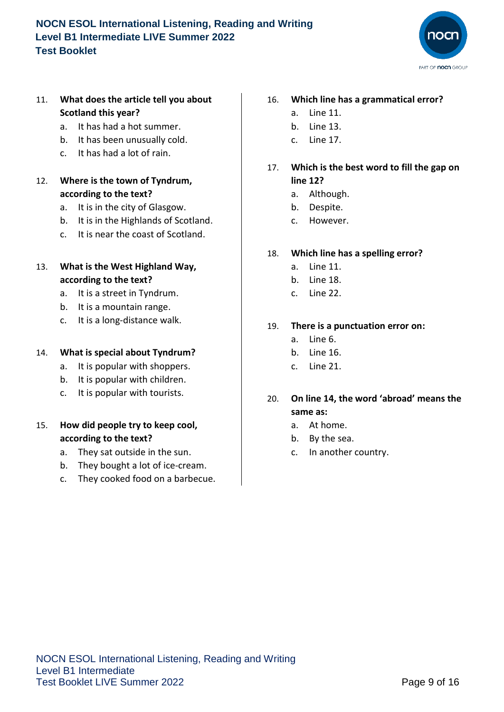

## 11. **What does the article tell you about Scotland this year?**

- a. It has had a hot summer.
- b. It has been unusually cold.
- c. It has had a lot of rain.
- 12. **Where is the town of Tyndrum, according to the text?**
	- a. It is in the city of Glasgow.
	- b. It is in the Highlands of Scotland.
	- c. It is near the coast of Scotland.
- 13. **What is the West Highland Way, according to the text?**
	- a. It is a street in Tyndrum.
	- b. It is a mountain range.
	- c. It is a long-distance walk.

#### 14. **What is special about Tyndrum?**

- a. It is popular with shoppers.
- b. It is popular with children.
- c. It is popular with tourists.

### 15. **How did people try to keep cool, according to the text?**

- a. They sat outside in the sun.
- b. They bought a lot of ice-cream.
- c. They cooked food on a barbecue.

#### 16. **Which line has a grammatical error?**

- a. Line 11.
- b. Line 13.
- c. Line 17.
- 17. **Which is the best word to fill the gap on line 12?**
	- a. Although.
	- b. Despite.
	- c. However.

#### 18. **Which line has a spelling error?**

- a. Line 11.
- b. Line 18.
- c. Line 22.

#### 19. **There is a punctuation error on:**

- a. Line 6.
- b. Line 16.
- c. Line 21.

### 20. **On line 14, the word 'abroad' means the same as:**

- a. At home.
- b. By the sea.
- c. In another country.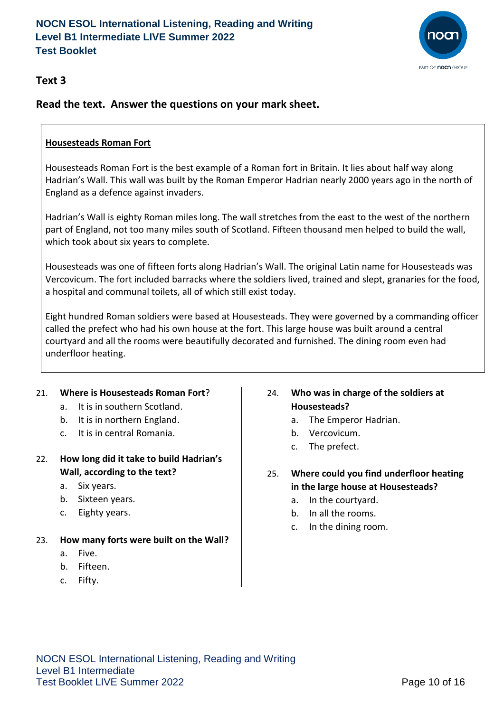

# **Text 3**

# **Read the text. Answer the questions on your mark sheet.**

### **Housesteads Roman Fort**

Housesteads Roman Fort is the best example of a Roman fort in Britain. It lies about half way along Hadrian's Wall. This wall was built by the Roman Emperor Hadrian nearly 2000 years ago in the north of England as a defence against invaders.

Hadrian's Wall is eighty Roman miles long. The wall stretches from the east to the west of the northern part of England, not too many miles south of Scotland. Fifteen thousand men helped to build the wall, which took about six years to complete.

Housesteads was one of fifteen forts along Hadrian's Wall. The original Latin name for Housesteads was Vercovicum. The fort included barracks where the soldiers lived, trained and slept, granaries for the food, a hospital and communal toilets, all of which still exist today.

Eight hundred Roman soldiers were based at Housesteads. They were governed by a commanding officer called the prefect who had his own house at the fort. This large house was built around a central courtyard and all the rooms were beautifully decorated and furnished. The dining room even had underfloor heating.

### 21. **Where is Housesteads Roman Fort**?

- a. It is in southern Scotland.
- b. It is in northern England.
- c. It is in central Romania.
- 22. **How long did it take to build Hadrian's Wall, according to the text?**
	- a. Six years.
	- b. Sixteen years.
	- c. Eighty years.
- 23. **How many forts were built on the Wall?**
	- a. Five.
	- b. Fifteen.
	- c. Fifty.

## 24. **Who was in charge of the soldiers at Housesteads?**

- a. The Emperor Hadrian.
- b. Vercovicum.
- c. The prefect.
- 25. **Where could you find underfloor heating in the large house at Housesteads?**
	- a. In the courtyard.
	- b. In all the rooms.
	- c. In the dining room.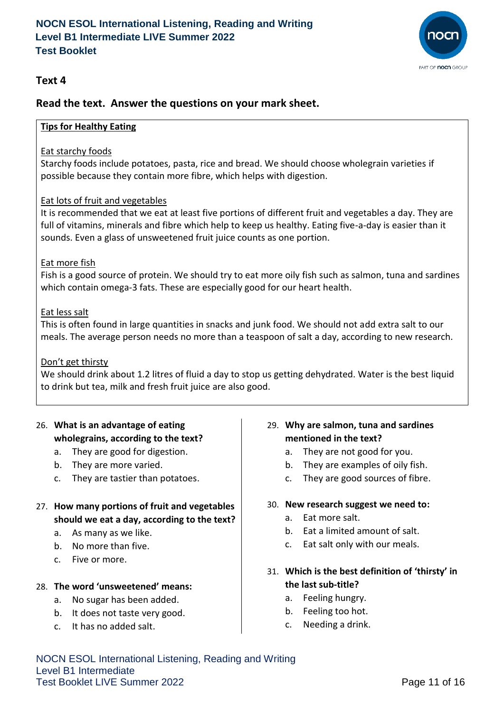

## **Text 4**

## **Read the text. Answer the questions on your mark sheet.**

#### **Tips for Healthy Eating**

#### Eat starchy foods

Starchy foods include potatoes, pasta, rice and bread. We should choose wholegrain varieties if possible because they contain more fibre, which helps with digestion.

#### Eat lots of fruit and vegetables

It is recommended that we eat at least five portions of different fruit and vegetables a day. They are full of vitamins, minerals and fibre which help to keep us healthy. Eating five-a-day is easier than it sounds. Even a glass of unsweetened fruit juice counts as one portion.

### Eat more fish

Fish is a good source of protein. We should try to eat more oily fish such as salmon, tuna and sardines which contain omega-3 fats. These are especially good for our heart health.

### Eat less salt

This is often found in large quantities in snacks and junk food. We should not add extra salt to our meals. The average person needs no more than a teaspoon of salt a day, according to new research.

#### Don't get thirsty

We should drink about 1.2 litres of fluid a day to stop us getting dehydrated. Water is the best liquid to drink but tea, milk and fresh fruit juice are also good.

## 26. **What is an advantage of eating wholegrains, according to the text?**

- a. They are good for digestion.
- b. They are more varied.
- c. They are tastier than potatoes.
- 27. **How many portions of fruit and vegetables should we eat a day, according to the text?**
	- a. As many as we like.
	- b. No more than five.
	- c. Five or more.

### 28. **The word 'unsweetened' means:**

- a. No sugar has been added.
- b. It does not taste very good.
- c. It has no added salt.

# 29. **Why are salmon, tuna and sardines mentioned in the text?**

- a. They are not good for you.
- b. They are examples of oily fish.
- c. They are good sources of fibre.
- 30. **New research suggest we need to:**
	- a. Eat more salt.
	- b. Eat a limited amount of salt.
	- c. Eat salt only with our meals.
- 31. **Which is the best definition of 'thirsty' in the last sub-title?** 
	- a. Feeling hungry.
	- b. Feeling too hot.
	- c. Needing a drink.

NOCN ESOL International Listening, Reading and Writing Level B1 Intermediate Test Booklet LIVE Summer 2022Page 11 of 16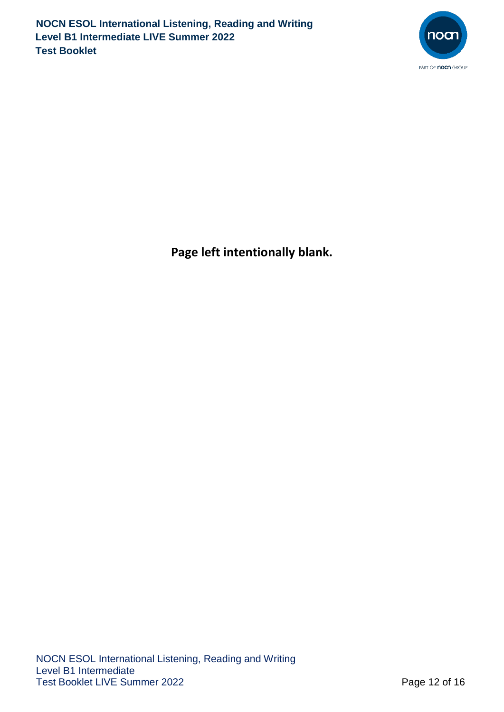

**Page left intentionally blank.**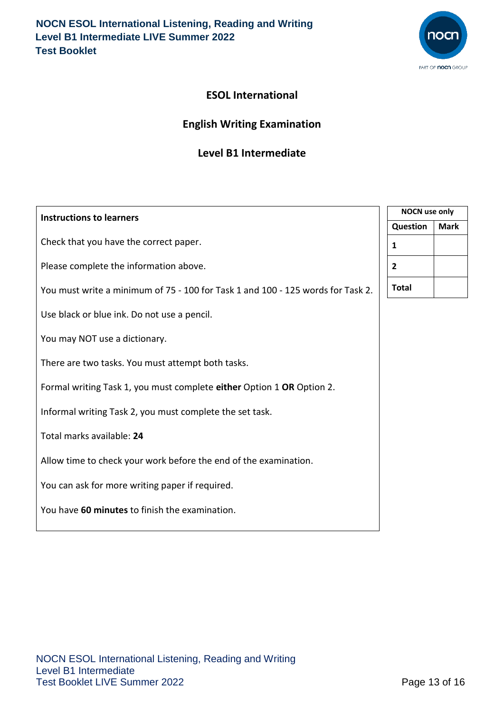

## **ESOL International**

### **English Writing Examination**

### **Level B1 Intermediate**

| <b>Instructions to learners</b>                                                 |  | <b>NOCN</b> use only |  |
|---------------------------------------------------------------------------------|--|----------------------|--|
|                                                                                 |  | <b>Mark</b>          |  |
| Check that you have the correct paper.                                          |  |                      |  |
| Please complete the information above.                                          |  |                      |  |
| You must write a minimum of 75 - 100 for Task 1 and 100 - 125 words for Task 2. |  |                      |  |
| Use black or blue ink. Do not use a pencil.                                     |  |                      |  |
| You may NOT use a dictionary.                                                   |  |                      |  |
| There are two tasks. You must attempt both tasks.                               |  |                      |  |
| Formal writing Task 1, you must complete either Option 1 OR Option 2.           |  |                      |  |
| Informal writing Task 2, you must complete the set task.                        |  |                      |  |
| Total marks available: 24                                                       |  |                      |  |
| Allow time to check your work before the end of the examination.                |  |                      |  |
| You can ask for more writing paper if required.                                 |  |                      |  |
| You have 60 minutes to finish the examination.                                  |  |                      |  |
|                                                                                 |  |                      |  |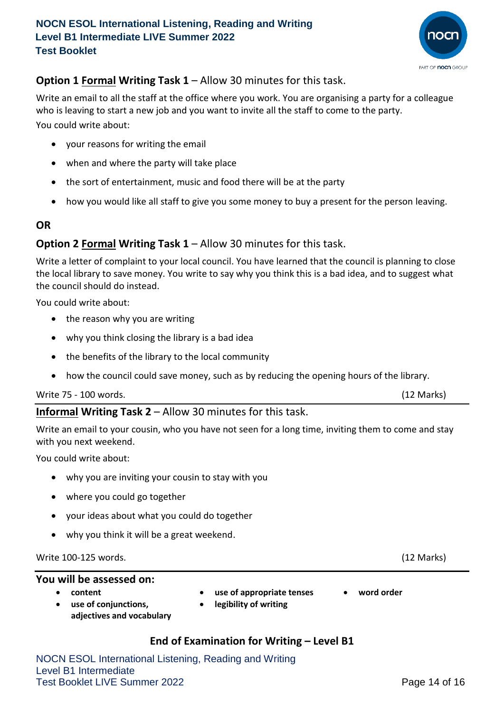

# **Option 1 Formal Writing Task 1** – Allow 30 minutes for this task.

Write an email to all the staff at the office where you work. You are organising a party for a colleague who is leaving to start a new job and you want to invite all the staff to come to the party. You could write about:

- your reasons for writing the email
- when and where the party will take place
- the sort of entertainment, music and food there will be at the party
- how you would like all staff to give you some money to buy a present for the person leaving.

### **OR**

## **Option 2 Formal Writing Task 1** – Allow 30 minutes for this task.

Write a letter of complaint to your local council. You have learned that the council is planning to close the local library to save money. You write to say why you think this is a bad idea, and to suggest what the council should do instead.

You could write about:

- the reason why you are writing
- why you think closing the library is a bad idea
- the benefits of the library to the local community
- how the council could save money, such as by reducing the opening hours of the library.

#### Write 75 - 100 words. (12 Marks)

# **Informal Writing Task 2** – Allow 30 minutes for this task.

Write an email to your cousin, who you have not seen for a long time, inviting them to come and stay with you next weekend.

You could write about:

- why you are inviting your cousin to stay with you
- where you could go together
- your ideas about what you could do together
- why you think it will be a great weekend.

#### Write 100-125 words. (12 Marks)

### **You will be assessed on:**

- 
- **content use of appropriate tenses word order legibility of writing**
	-
- **use of conjunctions, adjectives and vocabulary** 
	- **End of Examination for Writing – Level B1**

NOCN ESOL International Listening, Reading and Writing Level B1 Intermediate Test Booklet LIVE Summer 2022Page 14 of 16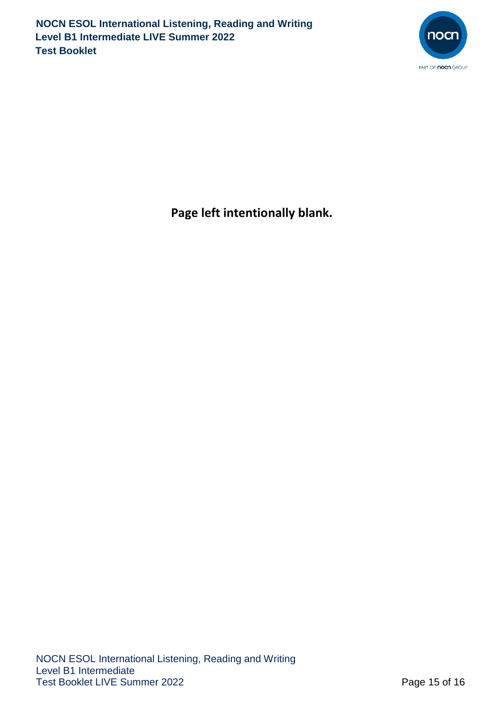

**Page left intentionally blank.**